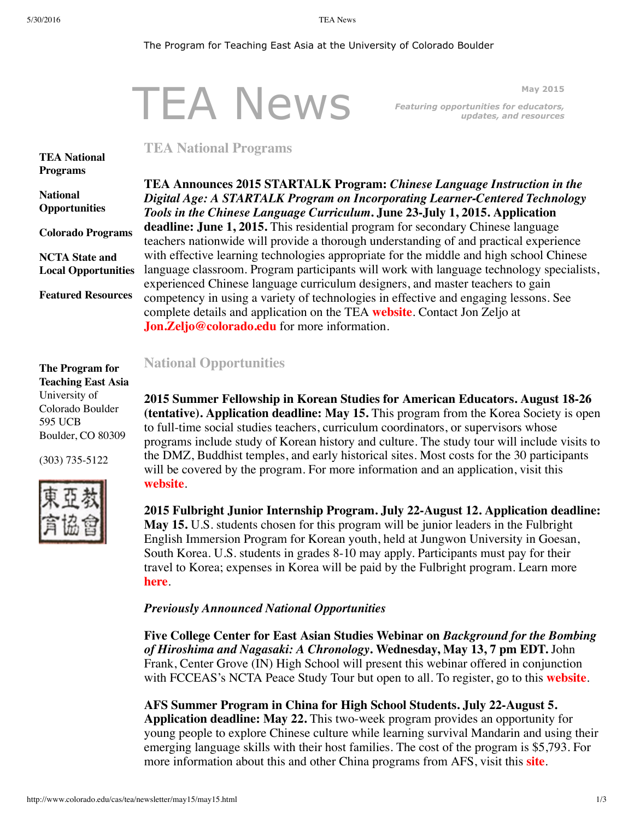#### The Program for Teaching East Asia at the University of Colorado Boulder

# TEA News

<span id="page-0-0"></span>**May 2015** *Featuring opportunities for educators, updates, and resources*

## **TEA National Programs**

**TEA National [Programs](#page-0-0)**

**National [Opportunities](#page-0-1)**

**Colorado [Programs](#page-1-0)**

**NCTA State and Local [Opportunities](#page-1-1)**

**Featured [Resources](#page-1-2)**

**TEA Announces 2015 STARTALK Program:** *Chinese Language Instruction in the Digital Age: A STARTALK Program on Incorporating Learner-Centered Technology Tools in the Chinese Language Curriculum***. June 23-July 1, 2015. Application deadline: June 1, 2015.** This residential program for secondary Chinese language teachers nationwide will provide a thorough understanding of and practical experience with effective learning technologies appropriate for the middle and high school Chinese language classroom. Program participants will work with language technology specialists, experienced Chinese language curriculum designers, and master teachers to gain competency in using a variety of technologies in effective and engaging lessons. See complete details and application on the TEA **[website](http://www.colorado.edu/cas/tea/programs/startalk-program.html)**. Contact Jon Zeljo at **[Jon.Zeljo@colorado.edu](mailto:Jon.Zeljo@colorado.edu)** for more information.

## <span id="page-0-1"></span>**National Opportunities**

**2015 Summer Fellowship in Korean Studies for American Educators. August 18-26 (tentative). Application deadline: May 15.** This program from the Korea Society is open to full-time social studies teachers, curriculum coordinators, or supervisors whose programs include study of Korean history and culture. The study tour will include visits to the DMZ, Buddhist temples, and early historical sites. Most costs for the 30 participants will be covered by the program. For more information and an application, visit this **[website](http://www.koreasociety.org/korean-studies/fellowships/2015_summer_fellowship.html)**.

**2015 Fulbright Junior Internship Program. July 22-August 12. Application deadline: May 15.** U.S. students chosen for this program will be junior leaders in the Fulbright English Immersion Program for Korean youth, held at Jungwon University in Goesan, South Korea. U.S. students in grades 8-10 may apply. Participants must pay for their travel to Korea; expenses in Korea will be paid by the Fulbright program. Learn more **[here](http://www.campfulbright.or.kr/xe/?mid=cfjip)**.

### *Previously Announced National Opportunities*

**Five College Center for East Asian Studies Webinar on** *Background for the Bombing of Hiroshima and Nagasaki: A Chronology***. Wednesday, May 13, 7 pm EDT.** John Frank, Center Grove (IN) High School will present this webinar offered in conjunction with FCCEAS's NCTA Peace Study Tour but open to all. To register, go to this **[website](https://attendee.gotowebinar.com/register/2849607949455352578)**.

**AFS Summer Program in China for High School Students. July 22-August 5. Application deadline: May 22.** This two-week program provides an opportunity for young people to explore Chinese culture while learning survival Mandarin and using their emerging language skills with their host families. The cost of the program is \$5,793. For more information about this and other China programs from AFS, visit this **[site](http://www.afsusa.org/study-abroad/summer-abroad/display-program/?destination=18&category=152#program)**.

**The Program for Teaching East Asia** University of Colorado Boulder 595 UCB Boulder, CO 80309

(303) 735-5122

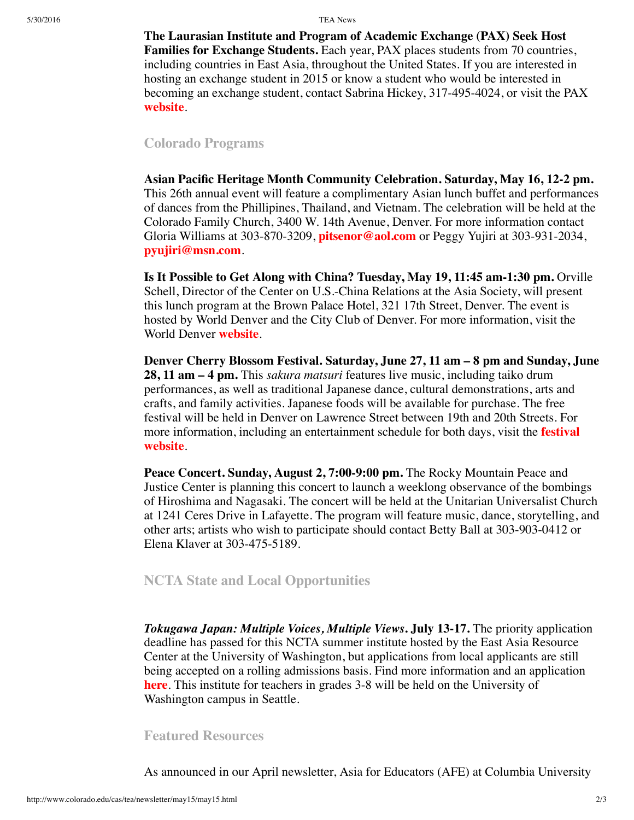**The Laurasian Institute and Program of Academic Exchange (PAX) Seek Host Families for Exchange Students.** Each year, PAX places students from 70 countries, including countries in East Asia, throughout the United States. If you are interested in hosting an exchange student in 2015 or know a student who would be interested in becoming an exchange student, contact Sabrina Hickey, 317-495-4024, or visit the PAX **[website](http://www.pax.org/)**.

## <span id="page-1-0"></span>**Colorado Programs**

**Asian Pacific Heritage Month Community Celebration. Saturday, May 16, 12-2 pm.** This 26th annual event will feature a complimentary Asian lunch buffet and performances of dances from the Phillipines, Thailand, and Vietnam. The celebration will be held at the Colorado Family Church, 3400 W. 14th Avenue, Denver. For more information contact Gloria Williams at 303-870-3209, **[pitsenor@aol.com](mailto:pitsenor@aol.com)** or Peggy Yujiri at 303-931-2034, **[pyujiri@msn.com](mailto:pyujiri@msn.com)**.

**Is It Possible to Get Along with China? Tuesday, May 19, 11:45 am-1:30 pm.** Orville Schell, Director of the Center on U.S.-China Relations at the Asia Society, will present this lunch program at the Brown Palace Hotel, 321 17th Street, Denver. The event is hosted by World Denver and the City Club of Denver. For more information, visit the World Denver **[website](http://www.worlddenver.org/event-1893837)**.

**Denver Cherry Blossom Festival. Saturday, June 27, 11 am – 8 pm and Sunday, June 28, 11 am – 4 pm.** This *sakura matsuri* features live music, including taiko drum performances, as well as traditional Japanese dance, cultural demonstrations, arts and crafts, and family activities. Japanese foods will be available for purchase. The free festival will be held in Denver on Lawrence Street between 19th and 20th Streets. For more information, including an [entertainment](http://cherryblossomdenver.org/) schedule for both days, visit the **festival website**.

**Peace Concert. Sunday, August 2, 7:00-9:00 pm.** The Rocky Mountain Peace and Justice Center is planning this concert to launch a weeklong observance of the bombings of Hiroshima and Nagasaki. The concert will be held at the Unitarian Universalist Church at 1241 Ceres Drive in Lafayette. The program will feature music, dance, storytelling, and other arts; artists who wish to participate should contact Betty Ball at 303-903-0412 or Elena Klaver at 303-475-5189.

## <span id="page-1-1"></span>**NCTA State and Local Opportunities**

*Tokugawa Japan: Multiple Voices, Multiple Views***. July 13-17.** The priority application deadline has passed for this NCTA summer institute hosted by the East Asia Resource Center at the University of Washington, but applications from local applicants are still being accepted on a rolling admissions basis. Find more information and an application **[here](https://catalyst.uw.edu/webq/survey/earc/260745?solstice_selected_button=btn_ba939ef6078c17e5f32acb38ffb56b8c_1&sol_button_data_btn_ba939ef6078c17e5f32acb38ffb56b8c_1=a5931c29413e88f148260d559a608b2fa4c22647950352a6dc5dfbb7cea89b087621ca9276358a8aabe4095ad84975d68cce0e724386c33b795a5748a94442f4169cee43d6cdc135b4713dd1230881df28ce8d1e92c0667624f9524258047c6d617c69204f454475aa79b0b4b3ee2c53337deadeaa93059495f8131385fff77fe14d4cb67856f81df0932dd61848dda6)**. This institute for teachers in grades 3-8 will be held on the University of Washington campus in Seattle.

### <span id="page-1-2"></span>**Featured Resources**

As announced in our April newsletter, Asia for Educators (AFE) at Columbia University